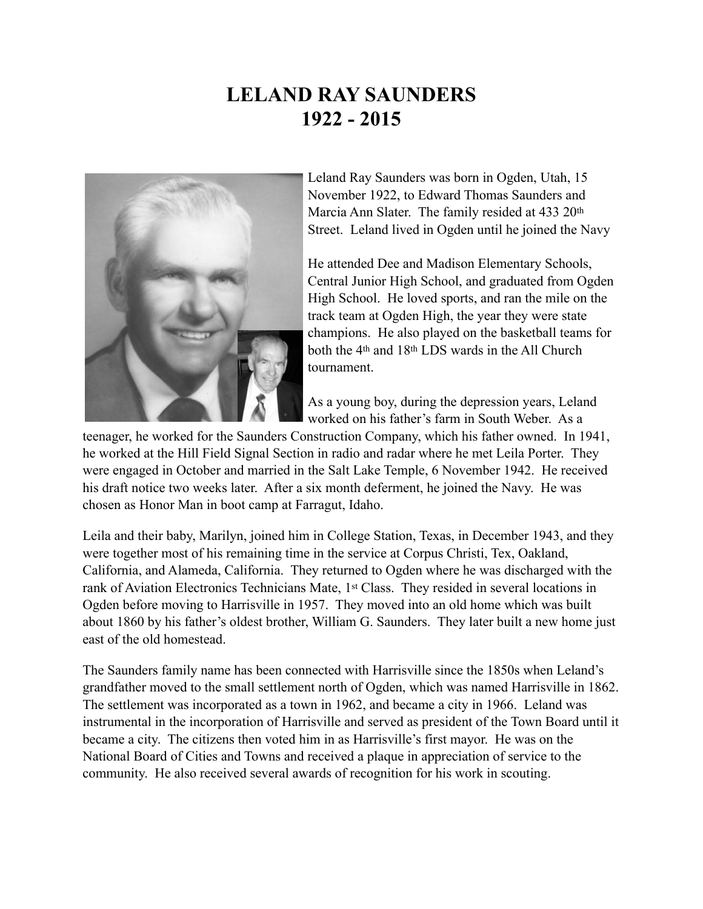## **LELAND RAY SAUNDERS 1922 - 2015**



Leland Ray Saunders was born in Ogden, Utah, 15 November 1922, to Edward Thomas Saunders and Marcia Ann Slater. The family resided at 433 20th Street. Leland lived in Ogden until he joined the Navy

He attended Dee and Madison Elementary Schools, Central Junior High School, and graduated from Ogden High School. He loved sports, and ran the mile on the track team at Ogden High, the year they were state champions. He also played on the basketball teams for both the 4th and 18th LDS wards in the All Church tournament.

As a young boy, during the depression years, Leland worked on his father's farm in South Weber. As a

teenager, he worked for the Saunders Construction Company, which his father owned. In 1941, he worked at the Hill Field Signal Section in radio and radar where he met Leila Porter. They were engaged in October and married in the Salt Lake Temple, 6 November 1942. He received his draft notice two weeks later. After a six month deferment, he joined the Navy. He was chosen as Honor Man in boot camp at Farragut, Idaho.

Leila and their baby, Marilyn, joined him in College Station, Texas, in December 1943, and they were together most of his remaining time in the service at Corpus Christi, Tex, Oakland, California, and Alameda, California. They returned to Ogden where he was discharged with the rank of Aviation Electronics Technicians Mate, 1st Class. They resided in several locations in Ogden before moving to Harrisville in 1957. They moved into an old home which was built about 1860 by his father's oldest brother, William G. Saunders. They later built a new home just east of the old homestead.

The Saunders family name has been connected with Harrisville since the 1850s when Leland's grandfather moved to the small settlement north of Ogden, which was named Harrisville in 1862. The settlement was incorporated as a town in 1962, and became a city in 1966. Leland was instrumental in the incorporation of Harrisville and served as president of the Town Board until it became a city. The citizens then voted him in as Harrisville's first mayor. He was on the National Board of Cities and Towns and received a plaque in appreciation of service to the community. He also received several awards of recognition for his work in scouting.